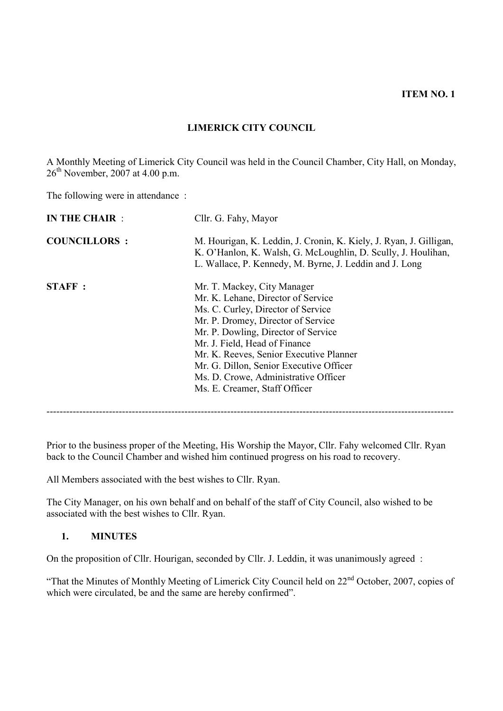**ITEM NO. 1**

# **LIMERICK CITY COUNCIL**

A Monthly Meeting of Limerick City Council was held in the Council Chamber, City Hall, on Monday,  $26<sup>th</sup>$  November, 2007 at 4.00 p.m.

The following were in attendance :

| <b>IN THE CHAIR:</b> | Cllr. G. Fahy, Mayor                                                                                                                                                                                                                                                                                                                                                                 |
|----------------------|--------------------------------------------------------------------------------------------------------------------------------------------------------------------------------------------------------------------------------------------------------------------------------------------------------------------------------------------------------------------------------------|
| <b>COUNCILLORS:</b>  | M. Hourigan, K. Leddin, J. Cronin, K. Kiely, J. Ryan, J. Gilligan,<br>K. O'Hanlon, K. Walsh, G. McLoughlin, D. Scully, J. Houlihan,<br>L. Wallace, P. Kennedy, M. Byrne, J. Leddin and J. Long                                                                                                                                                                                       |
| <b>STAFF:</b>        | Mr. T. Mackey, City Manager<br>Mr. K. Lehane, Director of Service<br>Ms. C. Curley, Director of Service<br>Mr. P. Dromey, Director of Service<br>Mr. P. Dowling, Director of Service<br>Mr. J. Field, Head of Finance<br>Mr. K. Reeves, Senior Executive Planner<br>Mr. G. Dillon, Senior Executive Officer<br>Ms. D. Crowe, Administrative Officer<br>Ms. E. Creamer, Staff Officer |

Prior to the business proper of the Meeting, His Worship the Mayor, Cllr. Fahy welcomed Cllr. Ryan back to the Council Chamber and wished him continued progress on his road to recovery.

All Members associated with the best wishes to Cllr. Ryan.

The City Manager, on his own behalf and on behalf of the staff of City Council, also wished to be associated with the best wishes to Cllr. Ryan.

### **1. MINUTES**

On the proposition of Cllr. Hourigan, seconded by Cllr. J. Leddin, it was unanimously agreed :

"That the Minutes of Monthly Meeting of Limerick City Council held on 22nd October, 2007, copies of which were circulated, be and the same are hereby confirmed".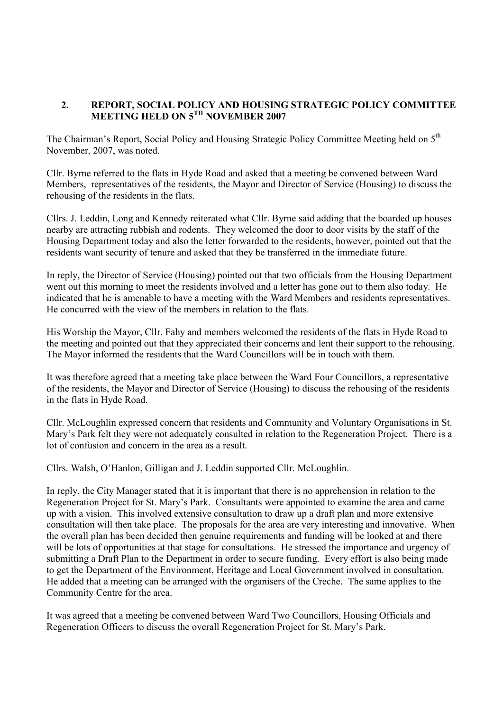### **2. REPORT, SOCIAL POLICY AND HOUSING STRATEGIC POLICY COMMITTEE MEETING HELD ON 5TH NOVEMBER 2007**

The Chairman's Report, Social Policy and Housing Strategic Policy Committee Meeting held on 5<sup>th</sup> November, 2007, was noted.

Cllr. Byrne referred to the flats in Hyde Road and asked that a meeting be convened between Ward Members, representatives of the residents, the Mayor and Director of Service (Housing) to discuss the rehousing of the residents in the flats.

Cllrs. J. Leddin, Long and Kennedy reiterated what Cllr. Byrne said adding that the boarded up houses nearby are attracting rubbish and rodents. They welcomed the door to door visits by the staff of the Housing Department today and also the letter forwarded to the residents, however, pointed out that the residents want security of tenure and asked that they be transferred in the immediate future.

In reply, the Director of Service (Housing) pointed out that two officials from the Housing Department went out this morning to meet the residents involved and a letter has gone out to them also today. He indicated that he is amenable to have a meeting with the Ward Members and residents representatives. He concurred with the view of the members in relation to the flats.

His Worship the Mayor, Cllr. Fahy and members welcomed the residents of the flats in Hyde Road to the meeting and pointed out that they appreciated their concerns and lent their support to the rehousing. The Mayor informed the residents that the Ward Councillors will be in touch with them.

It was therefore agreed that a meeting take place between the Ward Four Councillors, a representative of the residents, the Mayor and Director of Service (Housing) to discuss the rehousing of the residents in the flats in Hyde Road.

Cllr. McLoughlin expressed concern that residents and Community and Voluntary Organisations in St. Mary's Park felt they were not adequately consulted in relation to the Regeneration Project. There is a lot of confusion and concern in the area as a result.

Cllrs. Walsh, O'Hanlon, Gilligan and J. Leddin supported Cllr. McLoughlin.

In reply, the City Manager stated that it is important that there is no apprehension in relation to the Regeneration Project for St. Mary's Park. Consultants were appointed to examine the area and came up with a vision. This involved extensive consultation to draw up a draft plan and more extensive consultation will then take place. The proposals for the area are very interesting and innovative. When the overall plan has been decided then genuine requirements and funding will be looked at and there will be lots of opportunities at that stage for consultations. He stressed the importance and urgency of submitting a Draft Plan to the Department in order to secure funding. Every effort is also being made to get the Department of the Environment, Heritage and Local Government involved in consultation. He added that a meeting can be arranged with the organisers of the Creche. The same applies to the Community Centre for the area.

It was agreed that a meeting be convened between Ward Two Councillors, Housing Officials and Regeneration Officers to discuss the overall Regeneration Project for St. Mary's Park.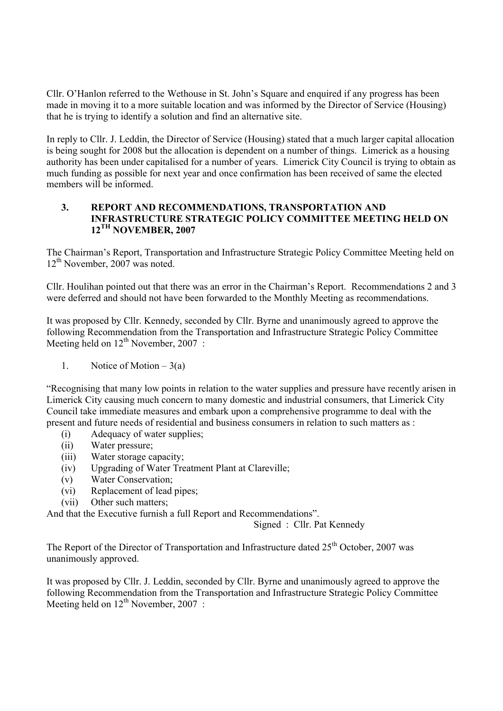Cllr. O'Hanlon referred to the Wethouse in St. John's Square and enquired if any progress has been made in moving it to a more suitable location and was informed by the Director of Service (Housing) that he is trying to identify a solution and find an alternative site.

In reply to Cllr. J. Leddin, the Director of Service (Housing) stated that a much larger capital allocation is being sought for 2008 but the allocation is dependent on a number of things. Limerick as a housing authority has been under capitalised for a number of years. Limerick City Council is trying to obtain as much funding as possible for next year and once confirmation has been received of same the elected members will be informed.

#### **3. REPORT AND RECOMMENDATIONS, TRANSPORTATION AND INFRASTRUCTURE STRATEGIC POLICY COMMITTEE MEETING HELD ON 12TH NOVEMBER, 2007**

The Chairman's Report, Transportation and Infrastructure Strategic Policy Committee Meeting held on 12<sup>th</sup> November, 2007 was noted.

Cllr. Houlihan pointed out that there was an error in the Chairman's Report. Recommendations 2 and 3 were deferred and should not have been forwarded to the Monthly Meeting as recommendations.

It was proposed by Cllr. Kennedy, seconded by Cllr. Byrne and unanimously agreed to approve the following Recommendation from the Transportation and Infrastructure Strategic Policy Committee Meeting held on  $12^{th}$  November, 2007 :

1. Notice of Motion  $-3(a)$ 

"Recognising that many low points in relation to the water supplies and pressure have recently arisen in Limerick City causing much concern to many domestic and industrial consumers, that Limerick City Council take immediate measures and embark upon a comprehensive programme to deal with the present and future needs of residential and business consumers in relation to such matters as :

- (i) Adequacy of water supplies;
- (ii) Water pressure;
- (iii) Water storage capacity;
- (iv) Upgrading of Water Treatment Plant at Clareville;
- (v) Water Conservation;
- (vi) Replacement of lead pipes;
- (vii) Other such matters;

And that the Executive furnish a full Report and Recommendations".

Signed : Cllr. Pat Kennedy

The Report of the Director of Transportation and Infrastructure dated 25<sup>th</sup> October, 2007 was unanimously approved.

It was proposed by Cllr. J. Leddin, seconded by Cllr. Byrne and unanimously agreed to approve the following Recommendation from the Transportation and Infrastructure Strategic Policy Committee Meeting held on  $12^{th}$  November, 2007 :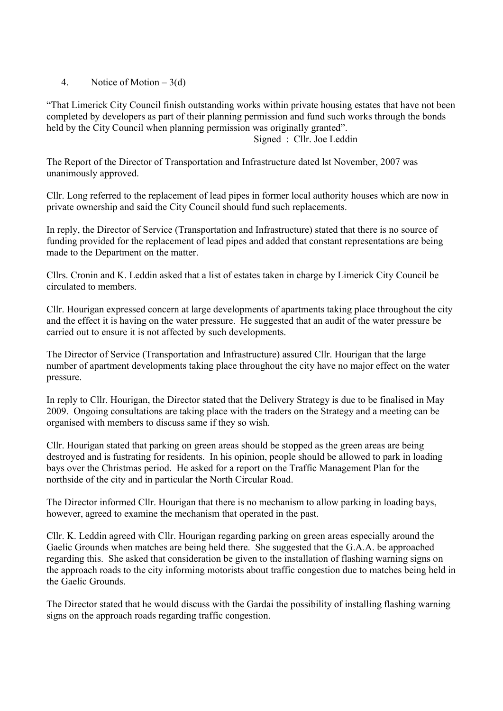4. Notice of Motion – 3(d)

"That Limerick City Council finish outstanding works within private housing estates that have not been completed by developers as part of their planning permission and fund such works through the bonds held by the City Council when planning permission was originally granted".

Signed : Cllr. Joe Leddin

The Report of the Director of Transportation and Infrastructure dated lst November, 2007 was unanimously approved.

Cllr. Long referred to the replacement of lead pipes in former local authority houses which are now in private ownership and said the City Council should fund such replacements.

In reply, the Director of Service (Transportation and Infrastructure) stated that there is no source of funding provided for the replacement of lead pipes and added that constant representations are being made to the Department on the matter.

Cllrs. Cronin and K. Leddin asked that a list of estates taken in charge by Limerick City Council be circulated to members.

Cllr. Hourigan expressed concern at large developments of apartments taking place throughout the city and the effect it is having on the water pressure. He suggested that an audit of the water pressure be carried out to ensure it is not affected by such developments.

The Director of Service (Transportation and Infrastructure) assured Cllr. Hourigan that the large number of apartment developments taking place throughout the city have no major effect on the water pressure.

In reply to Cllr. Hourigan, the Director stated that the Delivery Strategy is due to be finalised in May 2009. Ongoing consultations are taking place with the traders on the Strategy and a meeting can be organised with members to discuss same if they so wish.

Cllr. Hourigan stated that parking on green areas should be stopped as the green areas are being destroyed and is fustrating for residents. In his opinion, people should be allowed to park in loading bays over the Christmas period. He asked for a report on the Traffic Management Plan for the northside of the city and in particular the North Circular Road.

The Director informed Cllr. Hourigan that there is no mechanism to allow parking in loading bays, however, agreed to examine the mechanism that operated in the past.

Cllr. K. Leddin agreed with Cllr. Hourigan regarding parking on green areas especially around the Gaelic Grounds when matches are being held there. She suggested that the G.A.A. be approached regarding this. She asked that consideration be given to the installation of flashing warning signs on the approach roads to the city informing motorists about traffic congestion due to matches being held in the Gaelic Grounds.

The Director stated that he would discuss with the Gardai the possibility of installing flashing warning signs on the approach roads regarding traffic congestion.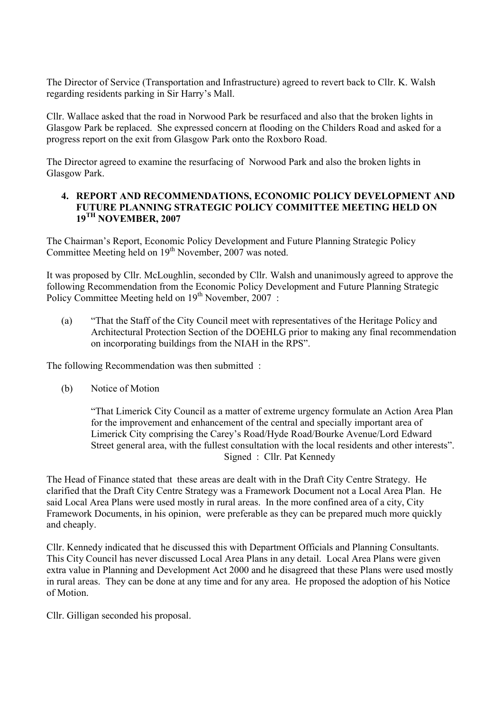The Director of Service (Transportation and Infrastructure) agreed to revert back to Cllr. K. Walsh regarding residents parking in Sir Harry's Mall.

Cllr. Wallace asked that the road in Norwood Park be resurfaced and also that the broken lights in Glasgow Park be replaced. She expressed concern at flooding on the Childers Road and asked for a progress report on the exit from Glasgow Park onto the Roxboro Road.

The Director agreed to examine the resurfacing of Norwood Park and also the broken lights in Glasgow Park.

#### **4. REPORT AND RECOMMENDATIONS, ECONOMIC POLICY DEVELOPMENT AND FUTURE PLANNING STRATEGIC POLICY COMMITTEE MEETING HELD ON 19TH NOVEMBER, 2007**

The Chairman's Report, Economic Policy Development and Future Planning Strategic Policy Committee Meeting held on  $19<sup>th</sup>$  November, 2007 was noted.

It was proposed by Cllr. McLoughlin, seconded by Cllr. Walsh and unanimously agreed to approve the following Recommendation from the Economic Policy Development and Future Planning Strategic Policy Committee Meeting held on  $19<sup>th</sup>$  November, 2007 :

(a) "That the Staff of the City Council meet with representatives of the Heritage Policy and Architectural Protection Section of the DOEHLG prior to making any final recommendation on incorporating buildings from the NIAH in the RPS".

The following Recommendation was then submitted :

(b) Notice of Motion

"That Limerick City Council as a matter of extreme urgency formulate an Action Area Plan for the improvement and enhancement of the central and specially important area of Limerick City comprising the Carey's Road/Hyde Road/Bourke Avenue/Lord Edward Street general area, with the fullest consultation with the local residents and other interests". Signed : Cllr. Pat Kennedy

The Head of Finance stated that these areas are dealt with in the Draft City Centre Strategy. He clarified that the Draft City Centre Strategy was a Framework Document not a Local Area Plan. He said Local Area Plans were used mostly in rural areas. In the more confined area of a city, City Framework Documents, in his opinion, were preferable as they can be prepared much more quickly and cheaply.

Cllr. Kennedy indicated that he discussed this with Department Officials and Planning Consultants. This City Council has never discussed Local Area Plans in any detail. Local Area Plans were given extra value in Planning and Development Act 2000 and he disagreed that these Plans were used mostly in rural areas. They can be done at any time and for any area. He proposed the adoption of his Notice of Motion.

Cllr. Gilligan seconded his proposal.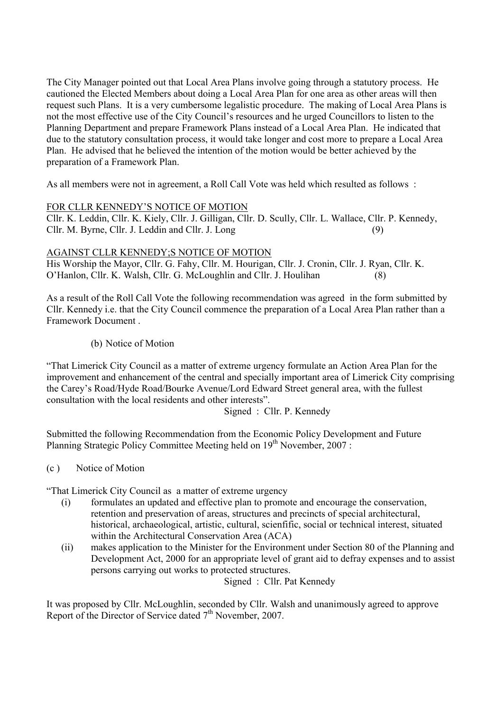The City Manager pointed out that Local Area Plans involve going through a statutory process. He cautioned the Elected Members about doing a Local Area Plan for one area as other areas will then request such Plans. It is a very cumbersome legalistic procedure. The making of Local Area Plans is not the most effective use of the City Council's resources and he urged Councillors to listen to the Planning Department and prepare Framework Plans instead of a Local Area Plan. He indicated that due to the statutory consultation process, it would take longer and cost more to prepare a Local Area Plan. He advised that he believed the intention of the motion would be better achieved by the preparation of a Framework Plan.

As all members were not in agreement, a Roll Call Vote was held which resulted as follows :

# FOR CLLR KENNEDY'S NOTICE OF MOTION

Cllr. K. Leddin, Cllr. K. Kiely, Cllr. J. Gilligan, Cllr. D. Scully, Cllr. L. Wallace, Cllr. P. Kennedy, Cllr. M. Byrne, Cllr. J. Leddin and Cllr. J. Long (9)

AGAINST CLLR KENNEDY;S NOTICE OF MOTION His Worship the Mayor, Cllr. G. Fahy, Cllr. M. Hourigan, Cllr. J. Cronin, Cllr. J. Ryan, Cllr. K. O'Hanlon, Cllr. K. Walsh, Cllr. G. McLoughlin and Cllr. J. Houlihan (8)

As a result of the Roll Call Vote the following recommendation was agreed in the form submitted by Cllr. Kennedy i.e. that the City Council commence the preparation of a Local Area Plan rather than a Framework Document .

(b) Notice of Motion

"That Limerick City Council as a matter of extreme urgency formulate an Action Area Plan for the improvement and enhancement of the central and specially important area of Limerick City comprising the Carey's Road/Hyde Road/Bourke Avenue/Lord Edward Street general area, with the fullest consultation with the local residents and other interests".

Signed : Cllr. P. Kennedy

Submitted the following Recommendation from the Economic Policy Development and Future Planning Strategic Policy Committee Meeting held on 19<sup>th</sup> November, 2007 :

(c ) Notice of Motion

"That Limerick City Council as a matter of extreme urgency

- (i) formulates an updated and effective plan to promote and encourage the conservation, retention and preservation of areas, structures and precincts of special architectural, historical, archaeological, artistic, cultural, scienfific, social or technical interest, situated within the Architectural Conservation Area (ACA)
- (ii) makes application to the Minister for the Environment under Section 80 of the Planning and Development Act, 2000 for an appropriate level of grant aid to defray expenses and to assist persons carrying out works to protected structures.

Signed : Cllr. Pat Kennedy

It was proposed by Cllr. McLoughlin, seconded by Cllr. Walsh and unanimously agreed to approve Report of the Director of Service dated  $7<sup>th</sup>$  November, 2007.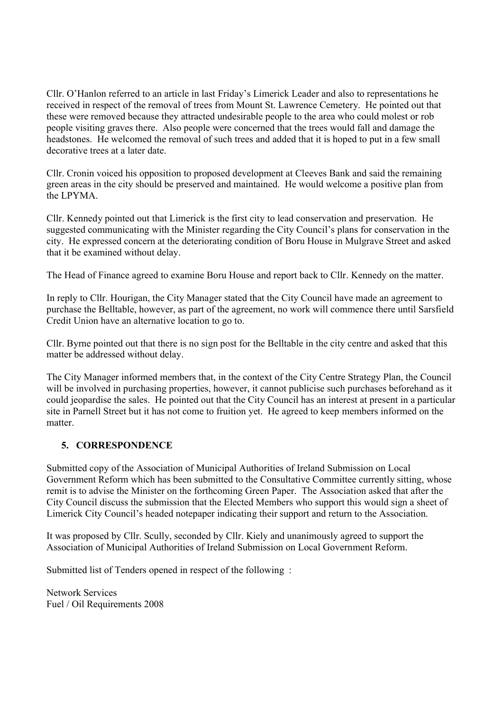Cllr. O'Hanlon referred to an article in last Friday's Limerick Leader and also to representations he received in respect of the removal of trees from Mount St. Lawrence Cemetery. He pointed out that these were removed because they attracted undesirable people to the area who could molest or rob people visiting graves there. Also people were concerned that the trees would fall and damage the headstones. He welcomed the removal of such trees and added that it is hoped to put in a few small decorative trees at a later date.

Cllr. Cronin voiced his opposition to proposed development at Cleeves Bank and said the remaining green areas in the city should be preserved and maintained. He would welcome a positive plan from the LPYMA.

Cllr. Kennedy pointed out that Limerick is the first city to lead conservation and preservation. He suggested communicating with the Minister regarding the City Council's plans for conservation in the city. He expressed concern at the deteriorating condition of Boru House in Mulgrave Street and asked that it be examined without delay.

The Head of Finance agreed to examine Boru House and report back to Cllr. Kennedy on the matter.

In reply to Cllr. Hourigan, the City Manager stated that the City Council have made an agreement to purchase the Belltable, however, as part of the agreement, no work will commence there until Sarsfield Credit Union have an alternative location to go to.

Cllr. Byrne pointed out that there is no sign post for the Belltable in the city centre and asked that this matter be addressed without delay.

The City Manager informed members that, in the context of the City Centre Strategy Plan, the Council will be involved in purchasing properties, however, it cannot publicise such purchases beforehand as it could jeopardise the sales. He pointed out that the City Council has an interest at present in a particular site in Parnell Street but it has not come to fruition yet. He agreed to keep members informed on the matter.

# **5. CORRESPONDENCE**

Submitted copy of the Association of Municipal Authorities of Ireland Submission on Local Government Reform which has been submitted to the Consultative Committee currently sitting, whose remit is to advise the Minister on the forthcoming Green Paper. The Association asked that after the City Council discuss the submission that the Elected Members who support this would sign a sheet of Limerick City Council's headed notepaper indicating their support and return to the Association.

It was proposed by Cllr. Scully, seconded by Cllr. Kiely and unanimously agreed to support the Association of Municipal Authorities of Ireland Submission on Local Government Reform.

Submitted list of Tenders opened in respect of the following :

Network Services Fuel / Oil Requirements 2008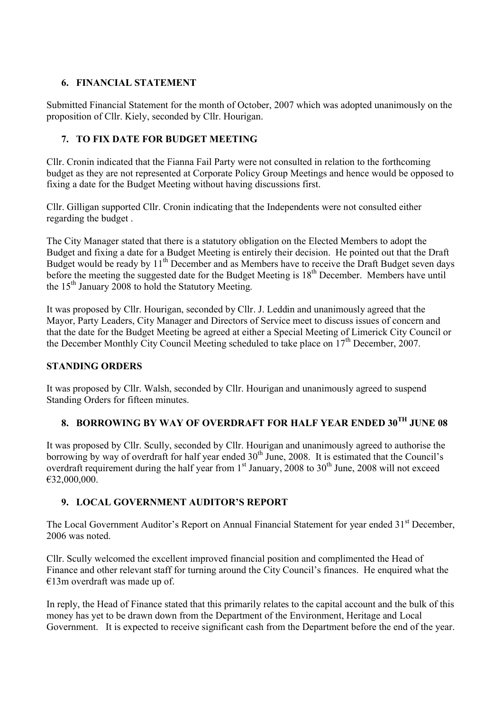# **6. FINANCIAL STATEMENT**

Submitted Financial Statement for the month of October, 2007 which was adopted unanimously on the proposition of Cllr. Kiely, seconded by Cllr. Hourigan.

# **7. TO FIX DATE FOR BUDGET MEETING**

Cllr. Cronin indicated that the Fianna Fail Party were not consulted in relation to the forthcoming budget as they are not represented at Corporate Policy Group Meetings and hence would be opposed to fixing a date for the Budget Meeting without having discussions first.

Cllr. Gilligan supported Cllr. Cronin indicating that the Independents were not consulted either regarding the budget .

The City Manager stated that there is a statutory obligation on the Elected Members to adopt the Budget and fixing a date for a Budget Meeting is entirely their decision. He pointed out that the Draft Budget would be ready by 11<sup>th</sup> December and as Members have to receive the Draft Budget seven days before the meeting the suggested date for the Budget Meeting is 18<sup>th</sup> December. Members have until the  $15<sup>th</sup>$  January 2008 to hold the Statutory Meeting.

It was proposed by Cllr. Hourigan, seconded by Cllr. J. Leddin and unanimously agreed that the Mayor, Party Leaders, City Manager and Directors of Service meet to discuss issues of concern and that the date for the Budget Meeting be agreed at either a Special Meeting of Limerick City Council or the December Monthly City Council Meeting scheduled to take place on  $17<sup>th</sup>$  December, 2007.

# **STANDING ORDERS**

It was proposed by Cllr. Walsh, seconded by Cllr. Hourigan and unanimously agreed to suspend Standing Orders for fifteen minutes.

# **8. BORROWING BY WAY OF OVERDRAFT FOR HALF YEAR ENDED 30TH JUNE 08**

It was proposed by Cllr. Scully, seconded by Cllr. Hourigan and unanimously agreed to authorise the borrowing by way of overdraft for half year ended 30<sup>th</sup> June, 2008. It is estimated that the Council's overdraft requirement during the half year from  $1<sup>st</sup>$  January, 2008 to  $30<sup>th</sup>$  June, 2008 will not exceed €32,000,000.

# **9. LOCAL GOVERNMENT AUDITOR'S REPORT**

The Local Government Auditor's Report on Annual Financial Statement for year ended 31<sup>st</sup> December, 2006 was noted.

Cllr. Scully welcomed the excellent improved financial position and complimented the Head of Finance and other relevant staff for turning around the City Council's finances. He enquired what the €13m overdraft was made up of.

In reply, the Head of Finance stated that this primarily relates to the capital account and the bulk of this money has yet to be drawn down from the Department of the Environment, Heritage and Local Government. It is expected to receive significant cash from the Department before the end of the year.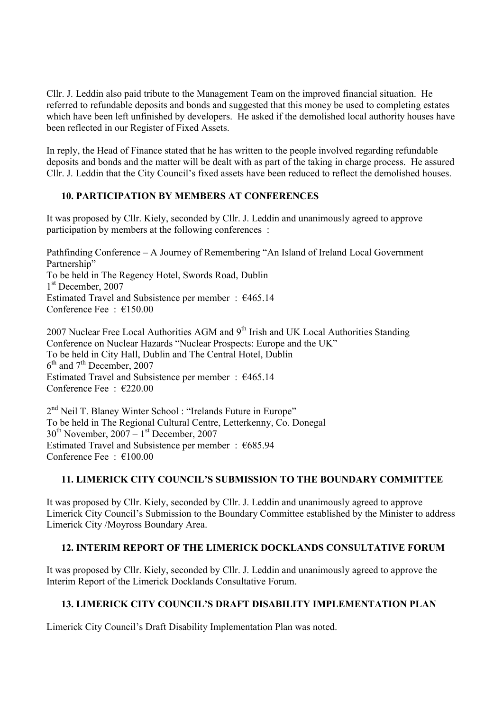Cllr. J. Leddin also paid tribute to the Management Team on the improved financial situation. He referred to refundable deposits and bonds and suggested that this money be used to completing estates which have been left unfinished by developers. He asked if the demolished local authority houses have been reflected in our Register of Fixed Assets.

In reply, the Head of Finance stated that he has written to the people involved regarding refundable deposits and bonds and the matter will be dealt with as part of the taking in charge process. He assured Cllr. J. Leddin that the City Council's fixed assets have been reduced to reflect the demolished houses.

# **10. PARTICIPATION BY MEMBERS AT CONFERENCES**

It was proposed by Cllr. Kiely, seconded by Cllr. J. Leddin and unanimously agreed to approve participation by members at the following conferences :

Pathfinding Conference – A Journey of Remembering "An Island of Ireland Local Government Partnership" To be held in The Regency Hotel, Swords Road, Dublin 1<sup>st</sup> December, 2007 Estimated Travel and Subsistence per member :  $€465.14$ Conference Fee : €150.00

2007 Nuclear Free Local Authorities AGM and 9<sup>th</sup> Irish and UK Local Authorities Standing Conference on Nuclear Hazards "Nuclear Prospects: Europe and the UK" To be held in City Hall, Dublin and The Central Hotel, Dublin 6<sup>th</sup> and 7<sup>th</sup> December, 2007 Estimated Travel and Subsistence per member :  $€465.14$ Conference Fee : €220.00

2<sup>nd</sup> Neil T. Blaney Winter School : "Irelands Future in Europe" To be held in The Regional Cultural Centre, Letterkenny, Co. Donegal  $30<sup>th</sup>$  November,  $2007 - 1<sup>st</sup>$  December, 2007 Estimated Travel and Subsistence per member : €685.94 Conference Fee : €100.00

# **11. LIMERICK CITY COUNCIL'S SUBMISSION TO THE BOUNDARY COMMITTEE**

It was proposed by Cllr. Kiely, seconded by Cllr. J. Leddin and unanimously agreed to approve Limerick City Council's Submission to the Boundary Committee established by the Minister to address Limerick City /Moyross Boundary Area.

# **12. INTERIM REPORT OF THE LIMERICK DOCKLANDS CONSULTATIVE FORUM**

It was proposed by Cllr. Kiely, seconded by Cllr. J. Leddin and unanimously agreed to approve the Interim Report of the Limerick Docklands Consultative Forum.

# **13. LIMERICK CITY COUNCIL'S DRAFT DISABILITY IMPLEMENTATION PLAN**

Limerick City Council's Draft Disability Implementation Plan was noted.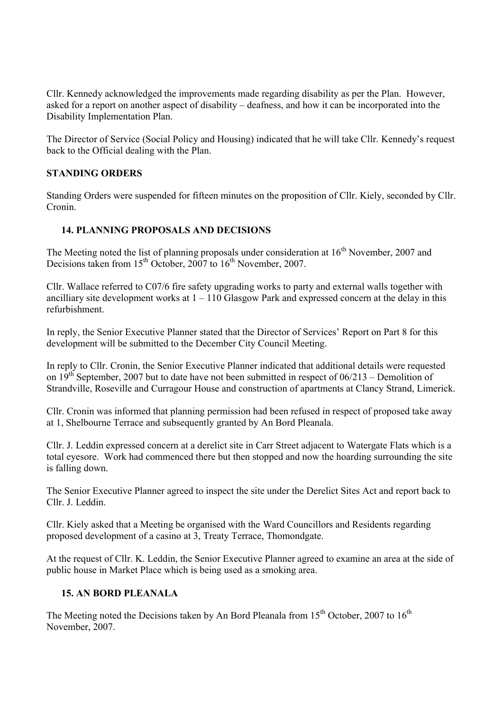Cllr. Kennedy acknowledged the improvements made regarding disability as per the Plan. However, asked for a report on another aspect of disability – deafness, and how it can be incorporated into the Disability Implementation Plan.

The Director of Service (Social Policy and Housing) indicated that he will take Cllr. Kennedy's request back to the Official dealing with the Plan.

# **STANDING ORDERS**

Standing Orders were suspended for fifteen minutes on the proposition of Cllr. Kiely, seconded by Cllr. Cronin.

### **14. PLANNING PROPOSALS AND DECISIONS**

The Meeting noted the list of planning proposals under consideration at  $16<sup>th</sup>$  November, 2007 and Decisions taken from 15<sup>th</sup> October, 2007 to 16<sup>th</sup> November, 2007.

Cllr. Wallace referred to C07/6 fire safety upgrading works to party and external walls together with ancilliary site development works at  $1 - 110$  Glasgow Park and expressed concern at the delay in this refurbishment.

In reply, the Senior Executive Planner stated that the Director of Services' Report on Part 8 for this development will be submitted to the December City Council Meeting.

In reply to Cllr. Cronin, the Senior Executive Planner indicated that additional details were requested on  $19<sup>th</sup>$  September, 2007 but to date have not been submitted in respect of 06/213 – Demolition of Strandville, Roseville and Curragour House and construction of apartments at Clancy Strand, Limerick.

Cllr. Cronin was informed that planning permission had been refused in respect of proposed take away at 1, Shelbourne Terrace and subsequently granted by An Bord Pleanala.

Cllr. J. Leddin expressed concern at a derelict site in Carr Street adjacent to Watergate Flats which is a total eyesore. Work had commenced there but then stopped and now the hoarding surrounding the site is falling down.

The Senior Executive Planner agreed to inspect the site under the Derelict Sites Act and report back to Cllr. J. Leddin.

Cllr. Kiely asked that a Meeting be organised with the Ward Councillors and Residents regarding proposed development of a casino at 3, Treaty Terrace, Thomondgate.

At the request of Cllr. K. Leddin, the Senior Executive Planner agreed to examine an area at the side of public house in Market Place which is being used as a smoking area.

#### **15. AN BORD PLEANALA**

The Meeting noted the Decisions taken by An Bord Pleanala from  $15<sup>th</sup>$  October, 2007 to  $16<sup>th</sup>$ November, 2007.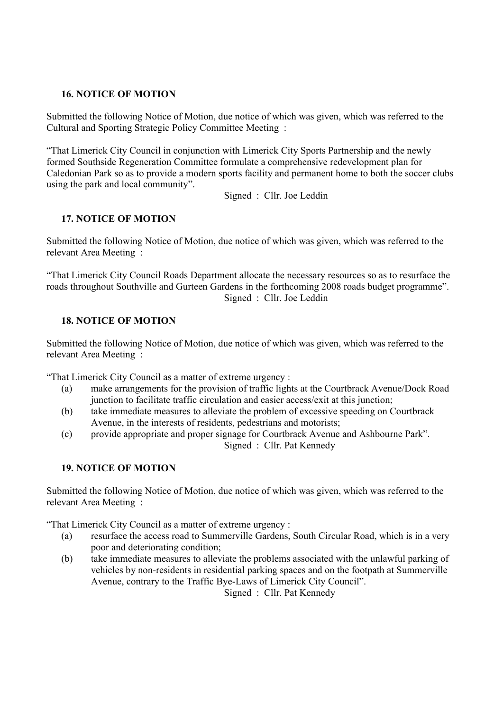### **16. NOTICE OF MOTION**

Submitted the following Notice of Motion, due notice of which was given, which was referred to the Cultural and Sporting Strategic Policy Committee Meeting :

"That Limerick City Council in conjunction with Limerick City Sports Partnership and the newly formed Southside Regeneration Committee formulate a comprehensive redevelopment plan for Caledonian Park so as to provide a modern sports facility and permanent home to both the soccer clubs using the park and local community".

Signed : Cllr. Joe Leddin

# **17. NOTICE OF MOTION**

Submitted the following Notice of Motion, due notice of which was given, which was referred to the relevant Area Meeting :

"That Limerick City Council Roads Department allocate the necessary resources so as to resurface the roads throughout Southville and Gurteen Gardens in the forthcoming 2008 roads budget programme". Signed : Cllr. Joe Leddin

# **18. NOTICE OF MOTION**

Submitted the following Notice of Motion, due notice of which was given, which was referred to the relevant Area Meeting :

"That Limerick City Council as a matter of extreme urgency :

- (a) make arrangements for the provision of traffic lights at the Courtbrack Avenue/Dock Road junction to facilitate traffic circulation and easier access/exit at this junction;
- (b) take immediate measures to alleviate the problem of excessive speeding on Courtbrack Avenue, in the interests of residents, pedestrians and motorists;
- (c) provide appropriate and proper signage for Courtbrack Avenue and Ashbourne Park". Signed : Cllr. Pat Kennedy

#### **19. NOTICE OF MOTION**

Submitted the following Notice of Motion, due notice of which was given, which was referred to the relevant Area Meeting :

"That Limerick City Council as a matter of extreme urgency :

- (a) resurface the access road to Summerville Gardens, South Circular Road, which is in a very poor and deteriorating condition;
- (b) take immediate measures to alleviate the problems associated with the unlawful parking of vehicles by non-residents in residential parking spaces and on the footpath at Summerville Avenue, contrary to the Traffic Bye-Laws of Limerick City Council".

Signed : Cllr. Pat Kennedy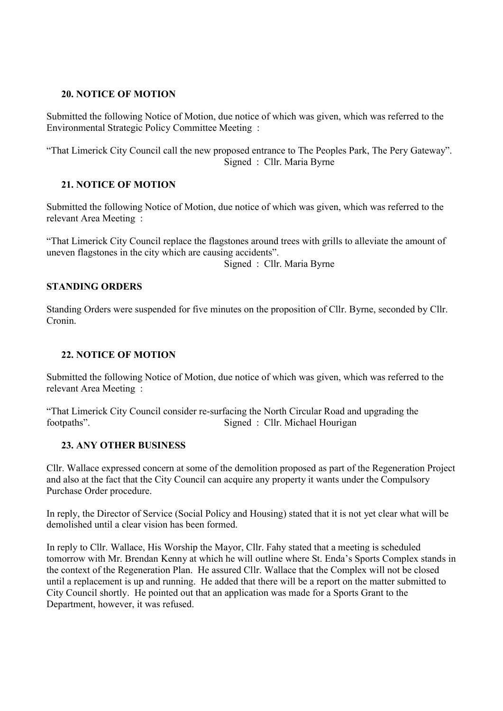#### **20. NOTICE OF MOTION**

Submitted the following Notice of Motion, due notice of which was given, which was referred to the Environmental Strategic Policy Committee Meeting :

"That Limerick City Council call the new proposed entrance to The Peoples Park, The Pery Gateway". Signed : Cllr. Maria Byrne

### **21. NOTICE OF MOTION**

Submitted the following Notice of Motion, due notice of which was given, which was referred to the relevant Area Meeting :

"That Limerick City Council replace the flagstones around trees with grills to alleviate the amount of uneven flagstones in the city which are causing accidents".

Signed : Cllr. Maria Byrne

#### **STANDING ORDERS**

Standing Orders were suspended for five minutes on the proposition of Cllr. Byrne, seconded by Cllr. Cronin.

#### **22. NOTICE OF MOTION**

Submitted the following Notice of Motion, due notice of which was given, which was referred to the relevant Area Meeting :

"That Limerick City Council consider re-surfacing the North Circular Road and upgrading the footpaths". Signed : Cllr. Michael Hourigan

#### **23. ANY OTHER BUSINESS**

Cllr. Wallace expressed concern at some of the demolition proposed as part of the Regeneration Project and also at the fact that the City Council can acquire any property it wants under the Compulsory Purchase Order procedure.

In reply, the Director of Service (Social Policy and Housing) stated that it is not yet clear what will be demolished until a clear vision has been formed.

In reply to Cllr. Wallace, His Worship the Mayor, Cllr. Fahy stated that a meeting is scheduled tomorrow with Mr. Brendan Kenny at which he will outline where St. Enda's Sports Complex stands in the context of the Regeneration Plan. He assured Cllr. Wallace that the Complex will not be closed until a replacement is up and running. He added that there will be a report on the matter submitted to City Council shortly. He pointed out that an application was made for a Sports Grant to the Department, however, it was refused.